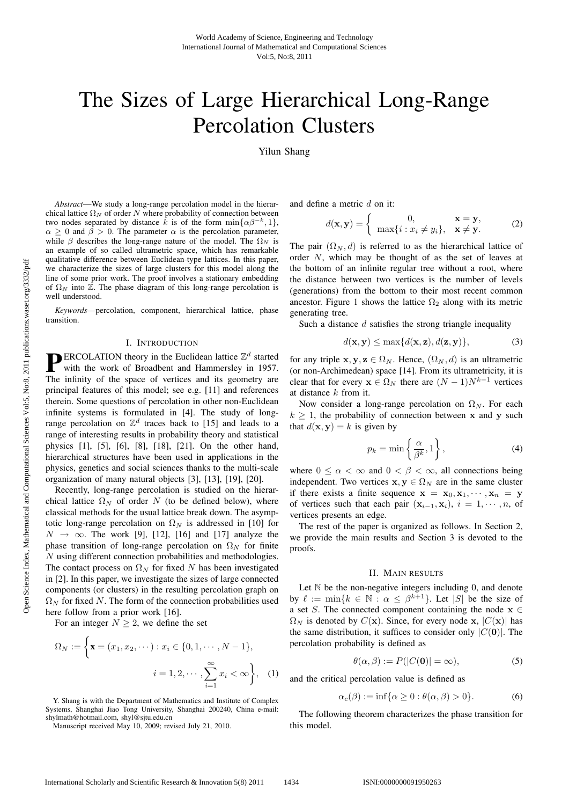# The Sizes of Large Hierarchical Long-Range Percolation Clusters

Yilun Shang

*Abstract*—We study a long-range percolation model in the hierarchical lattice  $\Omega_N$  of order N where probability of connection between two nodes separated by distance k is of the form  $\min{\{\alpha\beta^{-k}, 1\}}$ ,  $\alpha \geq 0$  and  $\beta > 0$ . The parameter  $\alpha$  is the percolation parameter, while  $\beta$  describes the long-range nature of the model. The  $\Omega_N$  is an example of so called ultrametric space, which has remarkable qualitative difference between Euclidean-type lattices. In this paper, we characterize the sizes of large clusters for this model along the line of some prior work. The proof involves a stationary embedding of  $\Omega_N$  into Z. The phase diagram of this long-range percolation is well understood.

*Keywords*—percolation, component, hierarchical lattice, phase transition.

#### I. INTRODUCTION

**PERCOLATION** theory in the Euclidean lattice  $\mathbb{Z}^d$  started with the work of Broadbent and Hammersley in 1957. The infinity of the space of vertices and its geometry are principal features of this model; see e.g. [11] and references therein. Some questions of percolation in other non-Euclidean infinite systems is formulated in [4]. The study of longrange percolation on  $\mathbb{Z}^d$  traces back to [15] and leads to a range of interesting results in probability theory and statistical physics [1], [5], [6], [8], [18], [21]. On the other hand, hierarchical structures have been used in applications in the physics, genetics and social sciences thanks to the multi-scale organization of many natural objects [3], [13], [19], [20].

Recently, long-range percolation is studied on the hierarchical lattice  $\Omega_N$  of order N (to be defined below), where classical methods for the usual lattice break down. The asymptotic long-range percolation on  $\Omega_N$  is addressed in [10] for  $N \rightarrow \infty$ . The work [9], [12], [16] and [17] analyze the phase transition of long-range percolation on  $\Omega_N$  for finite N using different connection probabilities and methodologies. The contact process on  $\Omega_N$  for fixed N has been investigated in [2]. In this paper, we investigate the sizes of large connected components (or clusters) in the resulting percolation graph on  $\Omega_N$  for fixed N. The form of the connection probabilities used here follow from a prior work [16].

For an integer  $N \geq 2$ , we define the set

$$
\Omega_N := \left\{ \mathbf{x} = (x_1, x_2, \dots) : x_i \in \{0, 1, \dots, N - 1\}, \right. \\
i = 1, 2, \dots, \sum_{i=1}^{\infty} x_i < \infty \right\}, \quad (1)
$$

Y. Shang is with the Department of Mathematics and Institute of Complex Systems, Shanghai Jiao Tong University, Shanghai 200240, China e-mail: shylmath@hotmail.com, shyl@sjtu.edu.cn

Manuscript received May 10, 2009; revised July 21, 2010.

and define a metric d on it:

$$
d(\mathbf{x}, \mathbf{y}) = \begin{cases} 0, & \mathbf{x} = \mathbf{y}, \\ \max\{i : x_i \neq y_i\}, & \mathbf{x} \neq \mathbf{y}. \end{cases}
$$
 (2)

The pair  $(\Omega_N, d)$  is referred to as the hierarchical lattice of order N, which may be thought of as the set of leaves at the bottom of an infinite regular tree without a root, where the distance between two vertices is the number of levels (generations) from the bottom to their most recent common ancestor. Figure 1 shows the lattice  $\Omega_2$  along with its metric generating tree.

Such a distance  $d$  satisfies the strong triangle inequality

$$
d(\mathbf{x}, \mathbf{y}) \le \max\{d(\mathbf{x}, \mathbf{z}), d(\mathbf{z}, \mathbf{y})\},\tag{3}
$$

for any triple **x**, **y**, **z**  $\in \Omega_N$ . Hence,  $(\Omega_N, d)$  is an ultrametric (or non-Archimedean) space [14]. From its ultrametricity, it is clear that for every  $\mathbf{x} \in \Omega_N$  there are  $(N-1)N^{k-1}$  vertices at distance  $k$  from it.

Now consider a long-range percolation on  $\Omega_N$ . For each  $k > 1$ , the probability of connection between **x** and **y** such that  $d(\mathbf{x}, \mathbf{y}) = k$  is given by

$$
p_k = \min\left\{\frac{\alpha}{\beta^k}, 1\right\},\tag{4}
$$

where  $0 \le \alpha < \infty$  and  $0 < \beta < \infty$ , all connections being independent. Two vertices  $\mathbf{x}, \mathbf{y} \in \Omega_N$  are in the same cluster if there exists a finite sequence  $\mathbf{x} = \mathbf{x}_0, \mathbf{x}_1, \dots, \mathbf{x}_n = \mathbf{y}$ of vertices such that each pair  $(\mathbf{x}_{i-1}, \mathbf{x}_i)$ ,  $i = 1, \dots, n$ , of vertices presents an edge.

The rest of the paper is organized as follows. In Section 2, we provide the main results and Section 3 is devoted to the proofs.

### II. MAIN RESULTS

Let  $N$  be the non-negative integers including 0, and denote by  $\ell := \min\{k \in \mathbb{N} : \alpha \leq \beta^{k+1}\}\.$  Let  $|S|$  be the size of a set S. The connected component containing the node  $x \in$  $\Omega_N$  is denoted by  $C(\mathbf{x})$ . Since, for every node **x**,  $|C(\mathbf{x})|$  has the same distribution, it suffices to consider only  $|C(\mathbf{0})|$ . The percolation probability is defined as

$$
\theta(\alpha,\beta) := P(|C(\mathbf{0})| = \infty),\tag{5}
$$

and the critical percolation value is defined as

$$
\alpha_c(\beta) := \inf \{ \alpha \ge 0 : \theta(\alpha, \beta) > 0 \}. \tag{6}
$$

The following theorem characterizes the phase transition for this model.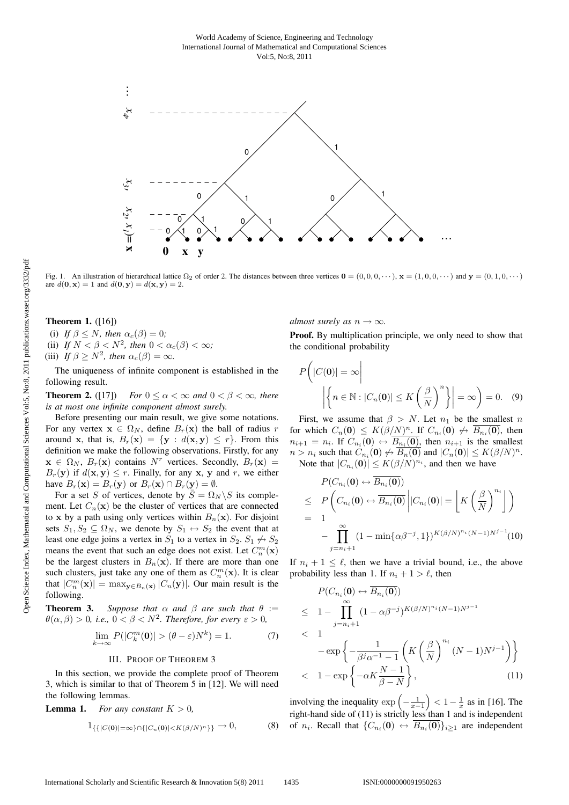

Fig. 1. An illustration of hierarchical lattice  $\Omega_2$  of order 2. The distances between three vertices  $\mathbf{0} = (0, 0, 0, \dots)$ ,  $\mathbf{x} = (1, 0, 0, \dots)$  and  $\mathbf{y} = (0, 1, 0, \dots)$ are  $d(\mathbf{0}, \mathbf{x}) = 1$  and  $d(\mathbf{0}, \mathbf{y}) = d(\mathbf{x}, \mathbf{y}) = 2$ .

**Theorem 1.** ([16])

(i) *If*  $\beta \leq N$ *, then*  $\alpha_c(\beta) = 0$ *;* (ii) If  $N < \beta < N^2$ , then  $0 < \alpha_c(\beta) < \infty$ ;

(iii) *If*  $\beta \geq N^2$ , then  $\alpha_c(\beta) = \infty$ .

The uniqueness of infinite component is established in the following result.

**Theorem 2.** ([17]) *For*  $0 \le \alpha < \infty$  *and*  $0 < \beta < \infty$ *, there is at most one infinite component almost surely.*

Before presenting our main result, we give some notations. For any vertex  $x \in \Omega_N$ , define  $B_r(x)$  the ball of radius r around **x**, that is,  $B_r(\mathbf{x}) = \{ \mathbf{y} : d(\mathbf{x}, \mathbf{y}) \leq r \}.$  From this definition we make the following observations. Firstly, for any  $\mathbf{x} \in \Omega_N$ ,  $B_r(\mathbf{x})$  contains N<sup>r</sup> vertices. Secondly,  $B_r(\mathbf{x}) =$  $B_r(\mathbf{y})$  if  $d(\mathbf{x}, \mathbf{y}) \leq r$ . Finally, for any **x**, **y** and r, we either have  $B_r(\mathbf{x}) = B_r(\mathbf{y})$  or  $B_r(\mathbf{x}) \cap B_r(\mathbf{y}) = \emptyset$ .

For a set S of vertices, denote by  $\overline{S} = \Omega_N \backslash S$  its complement. Let  $C_n(\mathbf{x})$  be the cluster of vertices that are connected to **x** by a path using only vertices within  $B_n(\mathbf{x})$ . For disjoint sets  $S_1, S_2 \subseteq \Omega_N$ , we denote by  $S_1 \leftrightarrow S_2$  the event that at least one edge joins a vertex in  $S_1$  to a vertex in  $S_2$ .  $S_1 \nleftrightarrow S_2$ means the event that such an edge does not exist. Let  $C_n^m(\mathbf{x})$ <br>be the largest clusters in  $B_n(\mathbf{x})$ . If there are more than one be the largest clusters in  $B_n(\mathbf{x})$ . If there are more than one such clusters, just take any one of them as  $C_m^m(\mathbf{x})$ . It is clear<br>that  $|C_m^m(\mathbf{x})| = \max_{\mathbf{x} \in \mathbb{R}^m} \sum_{n=0}^{\infty} |C_n(\mathbf{x})|$ . Our main result is the that  $|C_n^m(\mathbf{x})| = \max_{\mathbf{y} \in B_n(\mathbf{x})} |C_n(\mathbf{y})|$ . Our main result is the following following.

**Theorem 3.** *Suppose that*  $\alpha$  *and*  $\beta$  *are such that*  $\theta :=$  $\theta(\alpha, \beta) > 0$ , *i.e.*,  $0 < \beta < N^2$ . Therefore, for every  $\varepsilon > 0$ ,

$$
\lim_{k \to \infty} P(|C_k^m(\mathbf{0})| > (\theta - \varepsilon)N^k) = 1. \tag{7}
$$

#### III. PROOF OF THEOREM 3

In this section, we provide the complete proof of Theorem 3, which is similar to that of Theorem 5 in [12]. We will need the following lemmas.

**Lemma 1.** *For any constant*  $K > 0$ *,* 

$$
1_{\{\{|C(\mathbf{0})|=\infty\}\cap\{|C_n(\mathbf{0})|\n(8)
$$

*almost surely as*  $n \rightarrow \infty$ *.* 

**Proof.** By multiplication principle, we only need to show that the conditional probability

$$
P(|C(\mathbf{0})| = \infty \Big|
$$
  
 
$$
\Big| \Big\{ n \in \mathbb{N} : |C_n(\mathbf{0})| \le K \left( \frac{\beta}{N} \right)^n \Big\} \Big| = \infty \Big) = 0. \quad (9)
$$

First, we assume that  $\beta > N$ . Let  $n_1$  be the smallest n for which  $C_n(\mathbf{0}) \leq K(\beta/N)^n$ . If  $C_{n_i}(\mathbf{0}) \not\leftrightarrow \overline{B_{n_i}(\mathbf{0})}$ , then  $n_{i+1} = n_i$ . If  $C_{n_i}(\mathbf{0}) \leftrightarrow \overline{B_{n_i}(\mathbf{0})}$ , then  $n_{i+1}$  is the smallest  $n > n_i$  such that  $C_{n_i} (0) \nleftrightarrow B_n (0)$  and  $|C_n(0)| \leq K(\beta/N)^n$ . Note that  $|C_{n_i}(\mathbf{0})| \le K(\beta/N)^{n_i}$ , and then we have

$$
P(C_{n_i}(\mathbf{0}) \leftrightarrow \overline{B_{n_i}(\mathbf{0})})
$$
  
\n
$$
\leq P\left(C_{n_i}(\mathbf{0}) \leftrightarrow \overline{B_{n_i}(\mathbf{0})} \middle| |C_{n_i}(\mathbf{0})| = \left\lfloor K\left(\frac{\beta}{N}\right)^{n_i} \right\rfloor \right)
$$
  
\n
$$
= 1
$$
  
\n
$$
- \prod_{j=n_i+1}^{\infty} (1 - \min{\{\alpha\beta^{-j}, 1\}})^{K(\beta/N)^{n_i}(N-1)N^{j-1}}(10)
$$

If  $n_i + 1 \leq \ell$ , then we have a trivial bound, i.e., the above probability less than 1. If  $n_i + 1 > \ell$ , then

$$
P(C_{n_i}(\mathbf{0}) \leftrightarrow B_{n_i}(\mathbf{0}))
$$
  
\n
$$
\leq 1 - \prod_{j=n_i+1}^{\infty} (1 - \alpha \beta^{-j})^{K(\beta/N)^{n_i}(N-1)N^{j-1}}
$$
  
\n
$$
< 1 - \exp\left\{-\frac{1}{\beta^j \alpha^{-1} - 1} \left(K\left(\frac{\beta}{N}\right)^{n_i}(N-1)N^{j-1}\right)\right\}
$$
  
\n
$$
< 1 - \exp\left\{-\alpha K \frac{N-1}{\beta - N}\right\}, \qquad (11)
$$

involving the inequality  $\exp\left(-\frac{1}{x-1}\right)$  $\left( 1 - \frac{1}{x} \right)$  as in [16]. The right-hand side of (11) is strictly less than 1 and is independent of  $n_i$ . Recall that  $\{C_{n_i}(\mathbf{0}) \leftrightarrow \overline{B_{n_i}(\mathbf{0})}\}_{i>1}$  are independent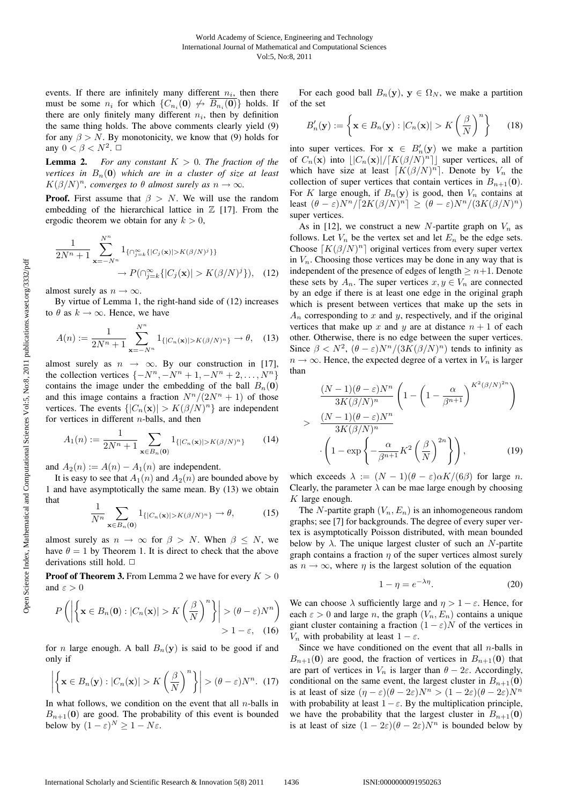events. If there are infinitely many different  $n_i$ , then there must be some  $n_i$  for which  $\{C_{n_i}(\mathbf{0}) \not\leftrightarrow \overline{B_{n_i}(\mathbf{0})}\}\)$  holds. If there are only finitely many different  $n_i$ , then by definition the same thing holds. The above comments clearly yield (9) for any  $\beta > N$ . By monotonicity, we know that (9) holds for any  $0 < \beta < N^2$ .  $\Box$ 

**Lemma 2.** For any constant  $K > 0$ . The fraction of the *vertices in*  $B_n(0)$  *which are in a cluster of size at least*  $K(\beta/N)^n$ *, converges to*  $\theta$  *almost surely as*  $n \to \infty$ *.* 

**Proof.** First assume that  $\beta > N$ . We will use the random embedding of the hierarchical lattice in  $\mathbb Z$  [17]. From the ergodic theorem we obtain for any  $k > 0$ ,

$$
\frac{1}{2N^{n}+1} \sum_{\mathbf{x}=-N^{n}}^{N^{n}} 1_{\{\cap_{j=k}^{\infty}\{|C_{j}(\mathbf{x})|>K(\beta/N)^{j}\}\}} \to P(\cap_{j=k}^{\infty}\{|C_{j}(\mathbf{x})|>K(\beta/N)^{j}\}), \quad (12)
$$

almost surely as  $n \to \infty$ .

By virtue of Lemma 1, the right-hand side of (12) increases to  $\theta$  as  $k \to \infty$ . Hence, we have

$$
A(n) := \frac{1}{2N^n + 1} \sum_{\mathbf{x} = -N^n}^{N^n} 1_{\{|C_n(\mathbf{x})| > K(\beta/N)^n\}} \to \theta, \quad (13)
$$

almost surely as  $n \rightarrow \infty$ . By our construction in [17], the collection vertices  $\{-N^n, -N^n + 1, -N^n + 2, \ldots, N^n\}$ contains the image under the embedding of the ball  $B_n(0)$ and this image contains a fraction  $N^n/(2N^n + 1)$  of those vertices. The events  $\{|C_n(\mathbf{x})| > K(\beta/N)^n\}$  are independent for vertices in different n-balls, and then

$$
A_1(n) := \frac{1}{2N^n + 1} \sum_{\mathbf{x} \in B_n(\mathbf{0})} 1_{\{|C_n(\mathbf{x})| > K(\beta/N)^n\}} \tag{14}
$$

and  $A_2(n) := A(n) - A_1(n)$  are independent.

It is easy to see that  $A_1(n)$  and  $A_2(n)$  are bounded above by 1 and have asymptotically the same mean. By (13) we obtain that

$$
\frac{1}{N^n} \sum_{\mathbf{x} \in B_n(\mathbf{0})} 1_{\{|C_n(\mathbf{x})| > K(\beta/N)^n\}} \to \theta,\tag{15}
$$

almost surely as  $n \to \infty$  for  $\beta > N$ . When  $\beta \leq N$ , we have  $\theta = 1$  by Theorem 1. It is direct to check that the above derivations still hold.  $\Box$ 

**Proof of Theorem 3.** From Lemma 2 we have for every  $K > 0$ and  $\varepsilon > 0$ 

$$
P\left(\left|\left\{\mathbf{x}\in B_n(\mathbf{0}): |C_n(\mathbf{x})| > K\left(\frac{\beta}{N}\right)^n\right\}\right| > (\theta-\varepsilon)N^n\right) > 1-\varepsilon, \quad (16)
$$

for *n* large enough. A ball  $B_n(y)$  is said to be good if and only if

$$
\left| \left\{ \mathbf{x} \in B_n(\mathbf{y}) : |C_n(\mathbf{x})| > K \left( \frac{\beta}{N} \right)^n \right\} \right| > (\theta - \varepsilon) N^n. \tag{17}
$$

In what follows, we condition on the event that all  $n$ -balls in  $B_{n+1}(\mathbf{0})$  are good. The probability of this event is bounded below by  $(1 - \varepsilon)^N \ge 1 - N\varepsilon$ .

For each good ball  $B_n(y)$ ,  $y \in \Omega_N$ , we make a partition of the set

$$
B'_n(\mathbf{y}) := \left\{ \mathbf{x} \in B_n(\mathbf{y}) : |C_n(\mathbf{x})| > K \left( \frac{\beta}{N} \right)^n \right\} \tag{18}
$$

into super vertices. For  $\mathbf{x} \in B'_n(\mathbf{y})$  we make a partition<br>of  $C(\mathbf{x})$  into  $||C(\mathbf{x})||/||K((\beta/N)^n)||$  super vertices all of of  $C_n(\mathbf{x})$  into  $\lfloor |C_n(\mathbf{x})|/[K(\beta/N)^n] \rfloor$  super vertices, all of which have size at least  $[K(\beta/N)^n]$ . Denote by  $V_n$  the collection of super vertices that contain vertices in  $B_{n+1}(\mathbf{0})$ . For K large enough, if  $B_n(y)$  is good, then  $V_n$  contains at least  $(\theta - \varepsilon)N^{n}/[2K(\beta/N)^{n}] \geq (\theta - \varepsilon)N^{n}/(3K(\beta/N)^{n})$ super vertices.

As in [12], we construct a new N-partite graph on  $V_n$  as follows. Let  $V_n$  be the vertex set and let  $E_n$  be the edge sets. Choose  $[K(\beta/N)^n]$  original vertices from every super vertex in  $V_n$ . Choosing those vertices may be done in any way that is independent of the presence of edges of length  $\geq n+1$ . Denote these sets by  $A_n$ . The super vertices  $x, y \in V_n$  are connected by an edge if there is at least one edge in the original graph which is present between vertices that make up the sets in  $A_n$  corresponding to x and y, respectively, and if the original vertices that make up x and y are at distance  $n + 1$  of each other. Otherwise, there is no edge between the super vertices. Since  $\beta < N^2$ ,  $(\theta - \varepsilon)N^n/(3K(\beta/N)^n)$  tends to infinity as  $n \to \infty$ . Hence, the expected degree of a vertex in  $V_n$  is larger than

$$
\frac{(N-1)(\theta-\varepsilon)N^n}{3K(\beta/N)^n} \left(1 - \left(1 - \frac{\alpha}{\beta^{n+1}}\right)^{K^2(\beta/N)^{2n}}\right)
$$
\n
$$
> \frac{(N-1)(\theta-\varepsilon)N^n}{3K(\beta/N)^n} \cdot \left(1 - \exp\left\{-\frac{\alpha}{\beta^{n+1}}K^2\left(\frac{\beta}{N}\right)^{2n}\right\}\right),\tag{19}
$$

which exceeds  $\lambda := (N-1)(\theta - \varepsilon)\alpha K/(6\beta)$  for large n. Clearly, the parameter  $\lambda$  can be mae large enough by choosing  $K$  large enough.

The N-partite graph  $(V_n, E_n)$  is an inhomogeneous random graphs; see [7] for backgrounds. The degree of every super vertex is asymptotically Poisson distributed, with mean bounded below by  $\lambda$ . The unique largest cluster of such an N-partite graph contains a fraction  $\eta$  of the super vertices almost surely as  $n \to \infty$ , where  $\eta$  is the largest solution of the equation

$$
1 - \eta = e^{-\lambda \eta}.\tag{20}
$$

We can choose  $\lambda$  sufficiently large and  $\eta > 1 - \varepsilon$ . Hence, for each  $\varepsilon > 0$  and large n, the graph  $(V_n, E_n)$  contains a unique giant cluster containing a fraction  $(1 - \varepsilon)N$  of the vertices in  $V_n$  with probability at least  $1 - \varepsilon$ .

Since we have conditioned on the event that all  $n$ -balls in  $B_{n+1}(\mathbf{0})$  are good, the fraction of vertices in  $B_{n+1}(\mathbf{0})$  that are part of vertices in  $V_n$  is larger than  $\theta - 2\varepsilon$ . Accordingly, conditional on the same event, the largest cluster in  $B_{n+1}(\mathbf{0})$ is at least of size  $(\eta - \varepsilon)(\theta - 2\varepsilon)N^n > (1 - 2\varepsilon)(\theta - 2\varepsilon)N^n$ with probability at least  $1 - \varepsilon$ . By the multiplication principle, we have the probability that the largest cluster in  $B_{n+1}(\mathbf{0})$ is at least of size  $(1 - 2\varepsilon)(\theta - 2\varepsilon)N^n$  is bounded below by